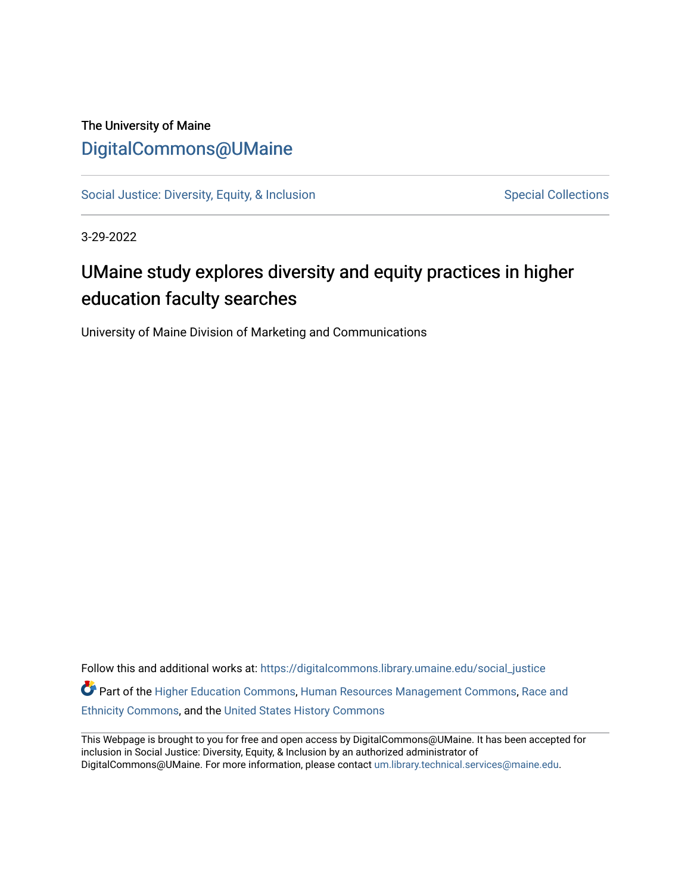#### The University of Maine [DigitalCommons@UMaine](https://digitalcommons.library.umaine.edu/)

[Social Justice: Diversity, Equity, & Inclusion](https://digitalcommons.library.umaine.edu/social_justice) [Special Collections](https://digitalcommons.library.umaine.edu/specialcollections) Special Collections

3-29-2022

## UMaine study explores diversity and equity practices in higher education faculty searches

University of Maine Division of Marketing and Communications

Follow this and additional works at: [https://digitalcommons.library.umaine.edu/social\\_justice](https://digitalcommons.library.umaine.edu/social_justice?utm_source=digitalcommons.library.umaine.edu%2Fsocial_justice%2F880&utm_medium=PDF&utm_campaign=PDFCoverPages)  Part of the [Higher Education Commons,](http://network.bepress.com/hgg/discipline/1245?utm_source=digitalcommons.library.umaine.edu%2Fsocial_justice%2F880&utm_medium=PDF&utm_campaign=PDFCoverPages) [Human Resources Management Commons](http://network.bepress.com/hgg/discipline/633?utm_source=digitalcommons.library.umaine.edu%2Fsocial_justice%2F880&utm_medium=PDF&utm_campaign=PDFCoverPages), [Race and](http://network.bepress.com/hgg/discipline/426?utm_source=digitalcommons.library.umaine.edu%2Fsocial_justice%2F880&utm_medium=PDF&utm_campaign=PDFCoverPages)  [Ethnicity Commons,](http://network.bepress.com/hgg/discipline/426?utm_source=digitalcommons.library.umaine.edu%2Fsocial_justice%2F880&utm_medium=PDF&utm_campaign=PDFCoverPages) and the [United States History Commons](http://network.bepress.com/hgg/discipline/495?utm_source=digitalcommons.library.umaine.edu%2Fsocial_justice%2F880&utm_medium=PDF&utm_campaign=PDFCoverPages) 

This Webpage is brought to you for free and open access by DigitalCommons@UMaine. It has been accepted for inclusion in Social Justice: Diversity, Equity, & Inclusion by an authorized administrator of DigitalCommons@UMaine. For more information, please contact [um.library.technical.services@maine.edu](mailto:um.library.technical.services@maine.edu).